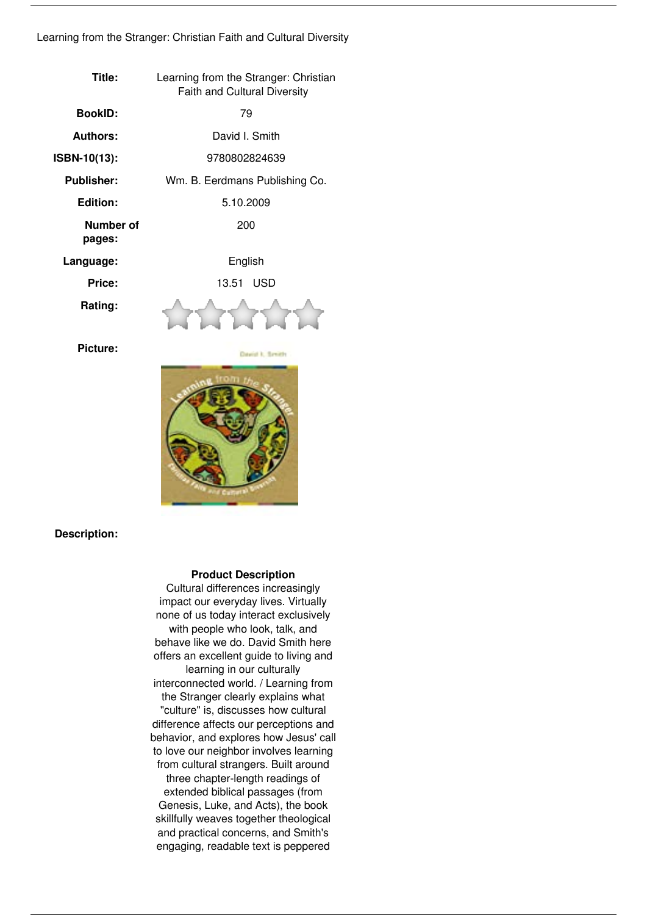## *Learning from the Stranger: Christian Faith and Cultural Diversity*

| Title:              | Learning from the Stranger: Christian<br><b>Faith and Cultural Diversity</b> |
|---------------------|------------------------------------------------------------------------------|
| <b>BookID:</b>      | 79                                                                           |
| <b>Authors:</b>     | David I. Smith                                                               |
| ISBN-10(13):        | 9780802824639                                                                |
| <b>Publisher:</b>   | Wm. B. Eerdmans Publishing Co.                                               |
| Edition:            | 5.10.2009                                                                    |
| Number of<br>pages: | 200                                                                          |
| Language:           | English                                                                      |
| Price:              | 13.51 USD                                                                    |
| Rating:             |                                                                              |
| Picture:            | <b>Count 1, Smith</b>                                                        |



## **Description:**

## **Product Description**

*Cultural differences increasingly impact our everyday lives. Virtually none of us today interact exclusively with people who look, talk, and behave like we do. David Smith here offers an excellent guide to living and learning in our culturally interconnected world. / Learning from the Stranger clearly explains what "culture" is, discusses how cultural difference affects our perceptions and behavior, and explores how Jesus' call to love our neighbor involves learning from cultural strangers. Built around three chapter-length readings of extended biblical passages (from Genesis, Luke, and Acts), the book skillfully weaves together theological and practical concerns, and Smith's engaging, readable text is peppered*